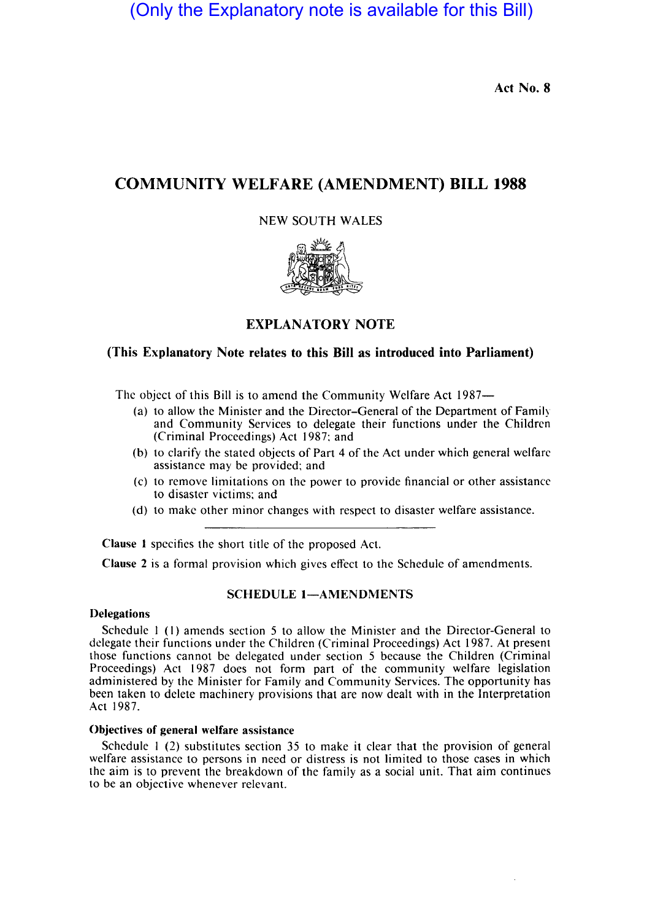(Only the Explanatory note is available for this Bill)

Act No. 8

# COMMUNITY WELFARE (AMENDMENT) **BILL 1988**

# NEW SOUTH WALES



# EXPLANATORY NOTE

## (This Explanatory Note relates to this Bill as introduced into Parliament)

The object of this Bill is to amend the Community Welfare Act 1987-

- (a) to allow the Minister and the Director-General of the Department of Famil) and Community Services to delegate their functions under the Children (Criminal Proceedings) Act 1987: and
- (b) to clarify the stated objects of Part 4 of the Act under which general welfare assistance may be provided; and
- (c) to remove limitations on the power to provide financial or other assistance to disaster victims; and
- (d) to make other minor changes with respect to disaster welfare assistance.

Clause I specifies the short title of the proposed Act.

Clause 2 is a formal provision which gives effect to the Schedule of amendments.

## SCHEDULE 1-AMENDMENTS

#### Delegations

Schedule 1 (1) amends section 5 to allow the Minister and the Director-General to delegate their functions under the Children (Criminal Proceedings) Act 1987. At present those functions cannot be delegated under section 5 because the Children (Criminal Proceedings) Act 1987 does not form part of the community welfare legislation administered by the Minister for Family and Community Services. The opportunity has been taken to delete machinery provisions that are now dealt with in the Interpretation Act 1987.

### Objectives of general welfare assistance

Schedule I (2) substitutes section 35 to make it clear that the provision of general welfare assistance to persons in need or distress is not limited to those eases in which the aim is to prevent the breakdown of the family as a social unit. That aim continues to be an objective whenever relevant.